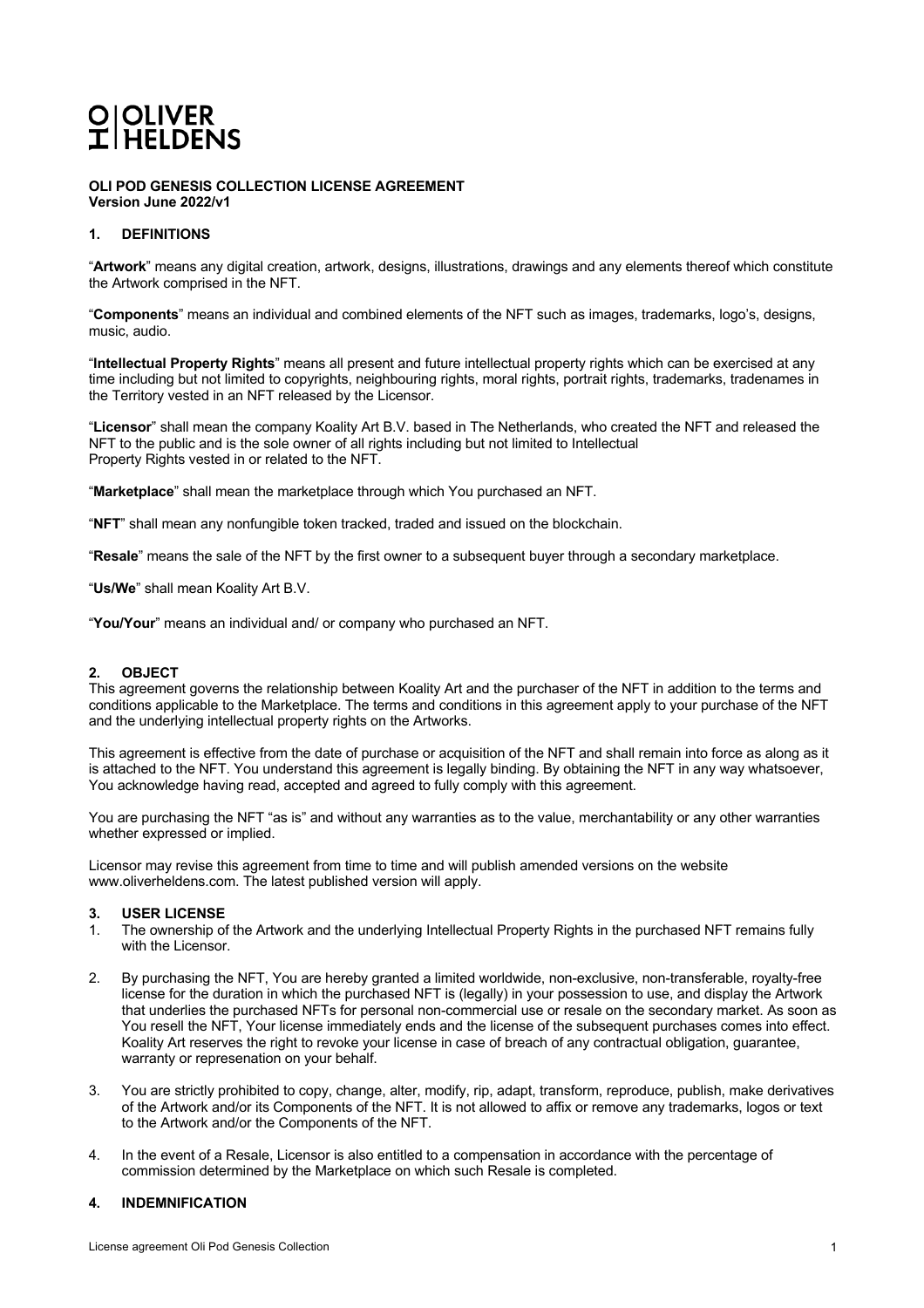## O OLIVER<br>I HELDENS

**OLI POD GENESIS COLLECTION LICENSE AGREEMENT Version June 2022/v1**

## **1. DEFINITIONS**

"**Artwork**" means any digital creation, artwork, designs, illustrations, drawings and any elements thereof which constitute the Artwork comprised in the NFT.

"**Components**" means an individual and combined elements of the NFT such as images, trademarks, logo's, designs, music, audio.

"**Intellectual Property Rights**" means all present and future intellectual property rights which can be exercised at any time including but not limited to copyrights, neighbouring rights, moral rights, portrait rights, trademarks, tradenames in the Territory vested in an NFT released by the Licensor.

"**Licensor**" shall mean the company Koality Art B.V. based in The Netherlands, who created the NFT and released the NFT to the public and is the sole owner of all rights including but not limited to Intellectual Property Rights vested in or related to the NFT.

"**Marketplace**" shall mean the marketplace through which You purchased an NFT.

"**NFT**" shall mean any nonfungible token tracked, traded and issued on the blockchain.

"**Resale**" means the sale of the NFT by the first owner to a subsequent buyer through a secondary marketplace.

"**Us/We**" shall mean Koality Art B.V.

"**You/Your**" means an individual and/ or company who purchased an NFT.

#### **2. OBJECT**

This agreement governs the relationship between Koality Art and the purchaser of the NFT in addition to the terms and conditions applicable to the Marketplace. The terms and conditions in this agreement apply to your purchase of the NFT and the underlying intellectual property rights on the Artworks.

This agreement is effective from the date of purchase or acquisition of the NFT and shall remain into force as along as it is attached to the NFT. You understand this agreement is legally binding. By obtaining the NFT in any way whatsoever, You acknowledge having read, accepted and agreed to fully comply with this agreement.

You are purchasing the NFT "as is" and without any warranties as to the value, merchantability or any other warranties whether expressed or implied.

Licensor may revise this agreement from time to time and will publish amended versions on the website www.oliverheldens.com. The latest published version will apply.

### **3. USER LICENSE**

- 1. The ownership of the Artwork and the underlying Intellectual Property Rights in the purchased NFT remains fully with the Licensor.
- 2. By purchasing the NFT, You are hereby granted a limited worldwide, non-exclusive, non-transferable, royalty-free license for the duration in which the purchased NFT is (legally) in your possession to use, and display the Artwork that underlies the purchased NFTs for personal non-commercial use or resale on the secondary market. As soon as You resell the NFT, Your license immediately ends and the license of the subsequent purchases comes into effect. Koality Art reserves the right to revoke your license in case of breach of any contractual obligation, guarantee, warranty or represenation on your behalf.
- 3. You are strictly prohibited to copy, change, alter, modify, rip, adapt, transform, reproduce, publish, make derivatives of the Artwork and/or its Components of the NFT. It is not allowed to affix or remove any trademarks, logos or text to the Artwork and/or the Components of the NFT.
- 4. In the event of a Resale, Licensor is also entitled to a compensation in accordance with the percentage of commission determined by the Marketplace on which such Resale is completed.

#### **4. INDEMNIFICATION**